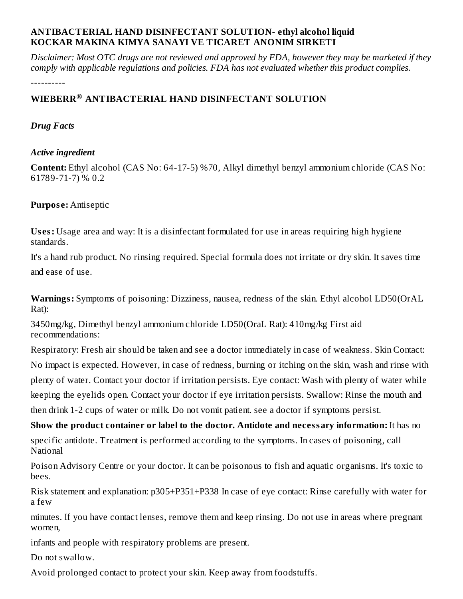## **ANTIBACTERIAL HAND DISINFECTANT SOLUTION- ethyl alcohol liquid KOCKAR MAKINA KIMYA SANAYI VE TICARET ANONIM SIRKETI**

Disclaimer: Most OTC drugs are not reviewed and approved by FDA, however they may be marketed if they *comply with applicable regulations and policies. FDA has not evaluated whether this product complies.*

----------

## **WIEBERR ANTIBACTERIAL HAND DISINFECTANT SOLUTION ®**

#### *Drug Facts*

#### *Active ingredient*

**Content:** Ethyl alcohol (CAS No: 64-17-5) %70, Alkyl dimethyl benzyl ammonium chloride (CAS No: 61789-71-7) % 0.2

## **Purpos e:** Antiseptic

**Us es:** Usage area and way: It is a disinfectant formulated for use in areas requiring high hygiene standards.

It's a hand rub product. No rinsing required. Special formula does not irritate or dry skin. It saves time and ease of use.

**Warnings:** Symptoms of poisoning: Dizziness, nausea, redness of the skin. Ethyl alcohol LD50(OrAL Rat):

3450mg/kg, Dimethyl benzyl ammonium chloride LD50(OraL Rat): 410mg/kg First aid recommendations:

Respiratory: Fresh air should be taken and see a doctor immediately in case of weakness. Skin Contact: No impact is expected. However, in case of redness, burning or itching on the skin, wash and rinse with plenty of water. Contact your doctor if irritation persists. Eye contact: Wash with plenty of water while keeping the eyelids open. Contact your doctor if eye irritation persists. Swallow: Rinse the mouth and then drink 1-2 cups of water or milk. Do not vomit patient. see a doctor if symptoms persist.

**Show the product container or label to the doctor. Antidote and necessary information:** It has no specific antidote. Treatment is performed according to the symptoms. In cases of poisoning, call National

Poison Advisory Centre or your doctor. It can be poisonous to fish and aquatic organisms. It's toxic to bees.

Risk statement and explanation: p305+P351+P338 In case of eye contact: Rinse carefully with water for a few

minutes. If you have contact lenses, remove them and keep rinsing. Do not use in areas where pregnant women,

infants and people with respiratory problems are present.

Do not swallow.

Avoid prolonged contact to protect your skin. Keep away from foodstuffs.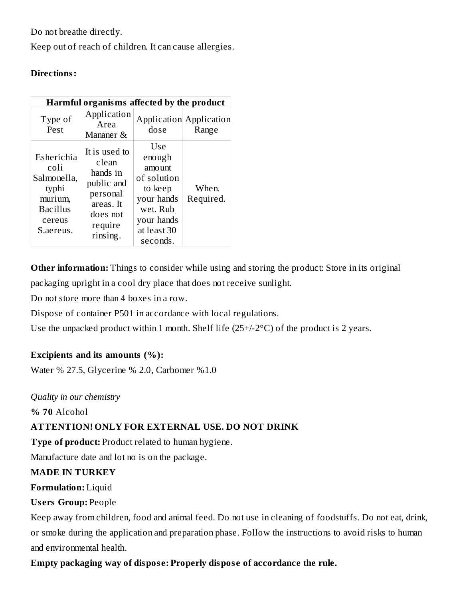Do not breathe directly.

Keep out of reach of children. It can cause allergies.

## **Directions:**

| Harmful organisms affected by the product                                                       |                                                                                                              |                                                                                                                      |                                         |  |
|-------------------------------------------------------------------------------------------------|--------------------------------------------------------------------------------------------------------------|----------------------------------------------------------------------------------------------------------------------|-----------------------------------------|--|
| Type of<br>Pest                                                                                 | Application<br>Area<br>Mananer &                                                                             | dose                                                                                                                 | <b>Application Application</b><br>Range |  |
| Esherichia<br>coli<br>Salmonella,<br>typhi<br>murium,<br><b>Bacillus</b><br>cereus<br>S.aereus. | It is used to<br>clean<br>hands in<br>public and<br>personal<br>areas. It<br>does not<br>require<br>rinsing. | Use<br>enough<br>amount<br>of solution<br>to keep<br>your hands<br>wet. Rub<br>your hands<br>at least 30<br>seconds. | When.<br>Required.                      |  |

**Other information:** Things to consider while using and storing the product: Store in its original packaging upright in a cool dry place that does not receive sunlight.

Do not store more than 4 boxes in a row.

Dispose of container P501 in accordance with local regulations.

Use the unpacked product within 1 month. Shelf life (25+/-2°C) of the product is 2 years.

## **Excipients and its amounts (%):**

Water % 27.5, Glycerine % 2.0, Carbomer %1.0

*Quality in our chemistry*

**% 70** Alcohol

## **ATTENTION! ONLY FOR EXTERNAL USE. DO NOT DRINK**

**Type of product:** Product related to human hygiene.

Manufacture date and lot no is on the package.

## **MADE IN TURKEY**

**Formulation:** Liquid

## **Us ers Group:** People

Keep away from children, food and animal feed. Do not use in cleaning of foodstuffs. Do not eat, drink, or smoke during the application and preparation phase. Follow the instructions to avoid risks to human and environmental health.

## **Empty packaging way of dispos e: Properly dispos e of accordance the rule.**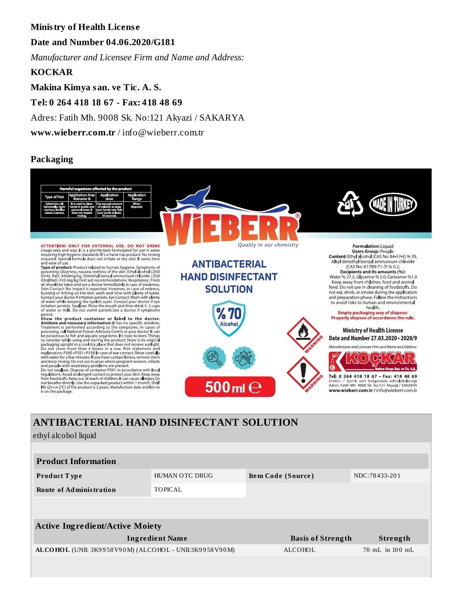## **Ministry of Health Licens e**

**Date and Number 04.06.2020/G181**

*Manufacturer and Licensee Firm and Name and Address:*

**KOCKAR**

**Makina Kimya san. ve Tic. A. S.**

**Tel: 0 264 418 18 67 - Fax: 418 48 69**

Adres: Fatih Mh. 9008 Sk. No:121 Akyazi / SAKARYA

**www.wieberr.com.tr** / info@wieberr.com.tr

#### **Packaging**



## **ANTIBACTERIAL HAND DISINFECTANT SOLUTION**

ethyl alcohol liquid

| <b>Product Information</b>                             |                        |                    |                          |                                     |  |
|--------------------------------------------------------|------------------------|--------------------|--------------------------|-------------------------------------|--|
| <b>Product Type</b>                                    | HUMAN OTC DRUG         | Item Code (Source) |                          | NDC:78433-201                       |  |
| <b>Route of Administration</b>                         | TOPICAL                |                    |                          |                                     |  |
|                                                        |                        |                    |                          |                                     |  |
| <b>Active Ingredient/Active Moiety</b>                 |                        |                    |                          |                                     |  |
|                                                        | <b>Ingredient Name</b> |                    | <b>Basis of Strength</b> | Strength                            |  |
| ALCOHOL (UNII: 3K9958V90M) (ALCOHOL - UNII:3K9958V90M) |                        |                    | ALCOHOL                  | $70 \text{ mL}$ in $100 \text{ mL}$ |  |
|                                                        |                        |                    |                          |                                     |  |